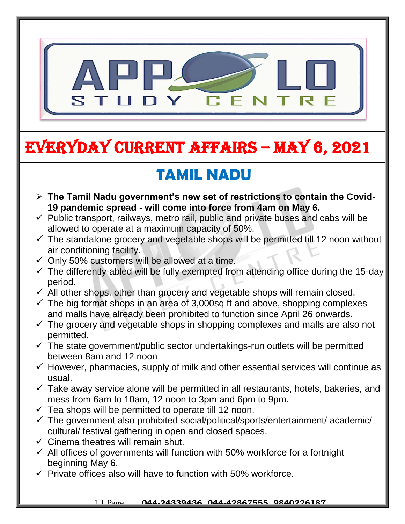

# EVERYDAY CURRENT AFFAIRS – MAY 6, 2021

# **TAMIL NADU**

- **The Tamil Nadu government's new set of restrictions to contain the Covid- 19 pandemic spread - will come into force from 4am on May 6.**
- $\checkmark$  Public transport, railways, metro rail, public and private buses and cabs will be allowed to operate at a maximum capacity of 50%.
- $\checkmark$  The standalone grocery and vegetable shops will be permitted till 12 noon without air conditioning facility.
- $\checkmark$  Only 50% customers will be allowed at a time.

-

- $\checkmark$  The differently-abled will be fully exempted from attending office during the 15-day period.
- $\checkmark$  All other shops, other than grocery and vegetable shops will remain closed.
- $\checkmark$  The big format shops in an area of 3,000sg ft and above, shopping complexes and malls have already been prohibited to function since April 26 onwards.
- $\checkmark$  The grocery and vegetable shops in shopping complexes and malls are also not permitted.
- $\checkmark$  The state government/public sector undertakings-run outlets will be permitted between 8am and 12 noon
- $\checkmark$  However, pharmacies, supply of milk and other essential services will continue as usual.
- $\checkmark$  Take away service alone will be permitted in all restaurants, hotels, bakeries, and mess from 6am to 10am, 12 noon to 3pm and 6pm to 9pm.
- $\checkmark$  Tea shops will be permitted to operate till 12 noon.
- $\checkmark$  The government also prohibited social/political/sports/entertainment/ academic/ cultural/ festival gathering in open and closed spaces.
- $\checkmark$  Cinema theatres will remain shut.
- $\checkmark$  All offices of governments will function with 50% workforce for a fortnight beginning May 6.
- $\checkmark$  Private offices also will have to function with 50% workforce.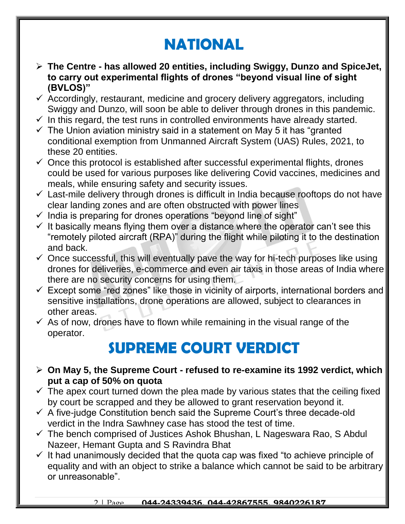## **NATIONAL**

- **The Centre - has allowed 20 entities, including Swiggy, Dunzo and SpiceJet, to carry out experimental flights of drones "beyond visual line of sight (BVLOS)"**
- $\checkmark$  Accordingly, restaurant, medicine and grocery delivery aggregators, including Swiggy and Dunzo, will soon be able to deliver through drones in this pandemic.
- $\checkmark$  In this regard, the test runs in controlled environments have already started.
- $\checkmark$  The Union aviation ministry said in a statement on May 5 it has "granted" conditional exemption from Unmanned Aircraft System (UAS) Rules, 2021, to these 20 entities.
- $\checkmark$  Once this protocol is established after successful experimental flights, drones could be used for various purposes like delivering Covid vaccines, medicines and meals, while ensuring safety and security issues.
- $\checkmark$  Last-mile delivery through drones is difficult in India because rooftops do not have clear landing zones and are often obstructed with power lines
- $\checkmark$  India is preparing for drones operations "beyond line of sight"
- $\checkmark$  It basically means flying them over a distance where the operator can't see this "remotely piloted aircraft (RPA)" during the flight while piloting it to the destination and back.
- $\checkmark$  Once successful, this will eventually pave the way for hi-tech purposes like using drones for deliveries, e-commerce and even air taxis in those areas of India where there are no security concerns for using them.
- $\checkmark$  Except some "red zones" like those in vicinity of airports, international borders and sensitive installations, drone operations are allowed, subject to clearances in other areas.
- $\checkmark$  As of now, drones have to flown while remaining in the visual range of the operator.

#### **SUPREME COURT VERDICT**

- **On May 5, the Supreme Court - refused to re-examine its 1992 verdict, which put a cap of 50% on quota**
- $\checkmark$  The apex court turned down the plea made by various states that the ceiling fixed by court be scrapped and they be allowed to grant reservation beyond it.
- $\checkmark$  A five-judge Constitution bench said the Supreme Court's three decade-old verdict in the Indra Sawhney case has stood the test of time.
- $\checkmark$  The bench comprised of Justices Ashok Bhushan, L Nageswara Rao, S Abdul Nazeer, Hemant Gupta and S Ravindra Bhat
- $\checkmark$  It had unanimously decided that the quota cap was fixed "to achieve principle of equality and with an object to strike a balance which cannot be said to be arbitrary or unreasonable".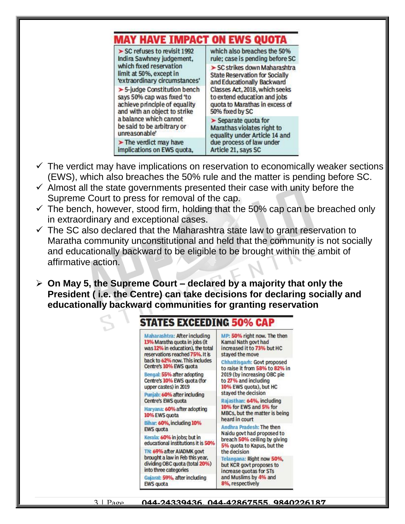#### **MAY HAVE IMPACT ON EWS QUOTA**  $\triangleright$  SC refuses to revisit 1992 which also breaches the 50% Indira Sawhney judgement, rule; case is pending before SC which fixed reservation > SC strikes down Maharashtra limit at 50%, except in **State Reservation for Socially** 'extraordinary circumstances' and Educationally Backward Classes Act, 2018, which seeks  $\triangleright$  5-judge Constitution bench to extend education and jobs says 50% cap was fixed 'to achieve principle of equality quota to Marathas in excess of and with an object to strike 50% fixed by SC a balance which cannot  $\blacktriangleright$  Separate quota for be said to be arbitrary or Marathas violates right to unreasonable' equality under Article 14 and  $\blacktriangleright$  The verdict may have due process of law under implications on EWS quota, Article 21, says SC

- $\checkmark$  The verdict may have implications on reservation to economically weaker sections (EWS), which also breaches the 50% rule and the matter is pending before SC.
- $\checkmark$  Almost all the state governments presented their case with unity before the Supreme Court to press for removal of the cap.
- $\checkmark$  The bench, however, stood firm, holding that the 50% cap can be breached only in extraordinary and exceptional cases.
- $\checkmark$  The SC also declared that the Maharashtra state law to grant reservation to Maratha community unconstitutional and held that the community is not socially and educationally backward to be eligible to be brought within the ambit of affirmative action.
- **On May 5, the Supreme Court – declared by a majority that only the President ( i.e. the Centre) can take decisions for declaring socially and educationally backward communities for granting reservation**



3 | Page **044-24339436, 044-42867555, 9840226187**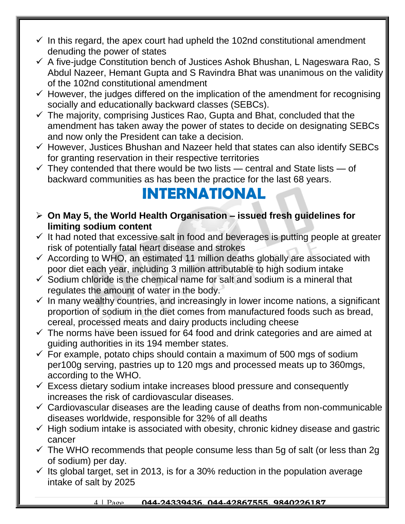- $\checkmark$  In this regard, the apex court had upheld the 102nd constitutional amendment denuding the power of states
- $\checkmark$  A five-judge Constitution bench of Justices Ashok Bhushan, L Nageswara Rao, S Abdul Nazeer, Hemant Gupta and S Ravindra Bhat was unanimous on the validity of the 102nd constitutional amendment
- $\checkmark$  However, the judges differed on the implication of the amendment for recognising socially and educationally backward classes (SEBCs).
- $\checkmark$  The majority, comprising Justices Rao, Gupta and Bhat, concluded that the amendment has taken away the power of states to decide on designating SEBCs and now only the President can take a decision.
- $\checkmark$  However, Justices Bhushan and Nazeer held that states can also identify SEBCs for granting reservation in their respective territories

 $\checkmark$  They contended that there would be two lists — central and State lists — of backward communities as has been the practice for the last 68 years.

#### **INTERNATIONAL**

- **On May 5, the World Health Organisation – issued fresh guidelines for limiting sodium content**
- $\checkmark$  It had noted that excessive salt in food and beverages is putting people at greater risk of potentially fatal heart disease and strokes
- $\checkmark$  According to WHO, an estimated 11 million deaths globally are associated with poor diet each year, including 3 million attributable to high sodium intake
- $\checkmark$  Sodium chloride is the chemical name for salt and sodium is a mineral that regulates the amount of water in the body.
- $\checkmark$  In many wealthy countries, and increasingly in lower income nations, a significant proportion of sodium in the diet comes from manufactured foods such as bread, cereal, processed meats and dairy products including cheese
- $\checkmark$  The norms have been issued for 64 food and drink categories and are aimed at guiding authorities in its 194 member states.
- $\checkmark$  For example, potato chips should contain a maximum of 500 mgs of sodium per100g serving, pastries up to 120 mgs and processed meats up to 360mgs, according to the WHO.
- $\checkmark$  Excess dietary sodium intake increases blood pressure and consequently increases the risk of cardiovascular diseases.
- $\checkmark$  Cardiovascular diseases are the leading cause of deaths from non-communicable diseases worldwide, responsible for 32% of all deaths
- $\checkmark$  High sodium intake is associated with obesity, chronic kidney disease and gastric cancer
- $\checkmark$  The WHO recommends that people consume less than 5g of salt (or less than 2g) of sodium) per day.
- $\checkmark$  Its global target, set in 2013, is for a 30% reduction in the population average intake of salt by 2025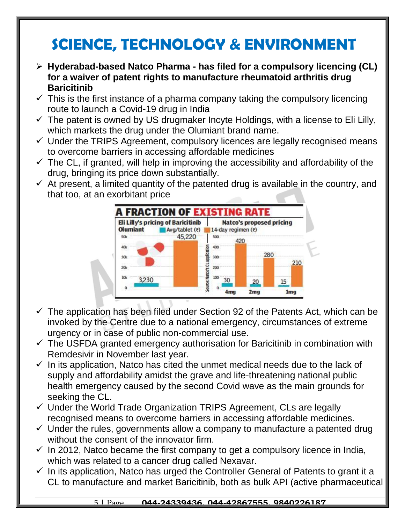# **SCIENCE, TECHNOLOGY & ENVIRONMENT**

- **Hyderabad-based Natco Pharma - has filed for a compulsory licencing (CL) for a waiver of patent rights to manufacture rheumatoid arthritis drug Baricitinib**
- $\checkmark$  This is the first instance of a pharma company taking the compulsory licencing route to launch a Covid-19 drug in India
- $\checkmark$  The patent is owned by US drugmaker Incyte Holdings, with a license to Eli Lilly, which markets the drug under the Olumiant brand name.
- $\checkmark$  Under the TRIPS Agreement, compulsory licences are legally recognised means to overcome barriers in accessing affordable medicines
- $\checkmark$  The CL, if granted, will help in improving the accessibility and affordability of the drug, bringing its price down substantially.
- $\checkmark$  At present, a limited quantity of the patented drug is available in the country, and that too, at an exorbitant price



- $\checkmark$  The application has been filed under Section 92 of the Patents Act, which can be invoked by the Centre due to a national emergency, circumstances of extreme urgency or in case of public non-commercial use.
- $\checkmark$  The USFDA granted emergency authorisation for Baricitinib in combination with Remdesivir in November last year.
- $\checkmark$  In its application, Natco has cited the unmet medical needs due to the lack of supply and affordability amidst the grave and life-threatening national public health emergency caused by the second Covid wave as the main grounds for seeking the CL.
- $\checkmark$  Under the World Trade Organization TRIPS Agreement, CLs are legally recognised means to overcome barriers in accessing affordable medicines.
- $\checkmark$  Under the rules, governments allow a company to manufacture a patented drug without the consent of the innovator firm.
- $\checkmark$  In 2012, Natco became the first company to get a compulsory licence in India, which was related to a cancer drug called Nexavar.
- $\checkmark$  In its application, Natco has urged the Controller General of Patents to grant it a CL to manufacture and market Baricitinib, both as bulk API (active pharmaceutical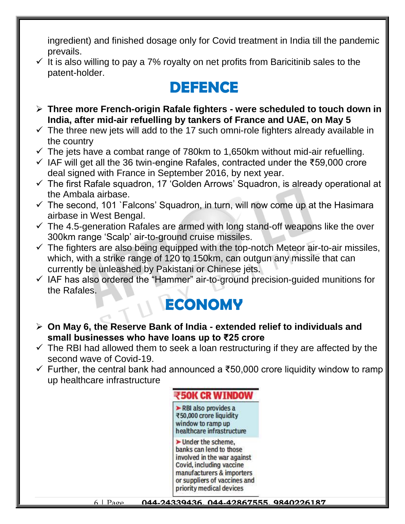ingredient) and finished dosage only for Covid treatment in India till the pandemic prevails.

 $\checkmark$  It is also willing to pay a 7% royalty on net profits from Baricitinib sales to the patent-holder.

# **DEFENCE**

- **Three more French-origin Rafale fighters - were scheduled to touch down in India, after mid-air refuelling by tankers of France and UAE, on May 5**
- $\checkmark$  The three new jets will add to the 17 such omni-role fighters already available in the country
- $\checkmark$  The jets have a combat range of 780km to 1,650km without mid-air refuelling.
- IAF will get all the 36 twin-engine Rafales, contracted under the ₹59,000 crore deal signed with France in September 2016, by next year.
- $\checkmark$  The first Rafale squadron, 17 'Golden Arrows' Squadron, is already operational at the Ambala airbase.
- $\checkmark$  The second, 101 `Falcons' Squadron, in turn, will now come up at the Hasimara airbase in West Bengal.
- $\checkmark$  The 4.5-generation Rafales are armed with long stand-off weapons like the over 300km range 'Scalp' air-to-ground cruise missiles.
- $\checkmark$  The fighters are also being equipped with the top-notch Meteor air-to-air missiles, which, with a strike range of 120 to 150km, can outgun any missile that can currently be unleashed by Pakistani or Chinese jets.
- $\checkmark$  IAF has also ordered the "Hammer" air-to-ground precision-guided munitions for the Rafales.

## **ECONOMY**

- **On May 6, the Reserve Bank of India - extended relief to individuals and small businesses who have loans up to ₹25 crore**
- $\checkmark$  The RBI had allowed them to seek a loan restructuring if they are affected by the second wave of Covid-19.
- Further, the central bank had announced a ₹50,000 crore liquidity window to ramp up healthcare infrastructure

#### ₹50K CR WTNDOW

RBI also provides a ₹50,000 crore liquidity window to ramp up healthcare infrastructure

 $\blacktriangleright$  Under the scheme. banks can lend to those involved in the war against Covid, including vaccine manufacturers & importers or suppliers of vaccines and priority medical devices

6 | Page **044-24339436, 044-42867555, 9840226187**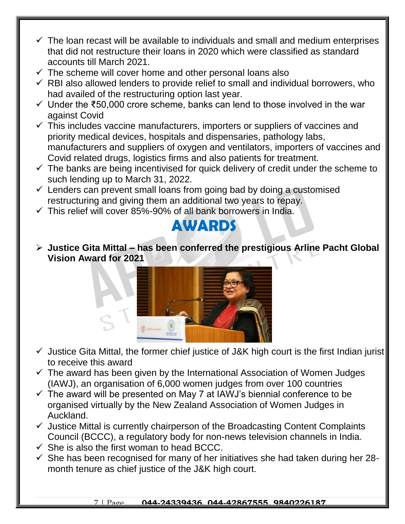- $\checkmark$  The loan recast will be available to individuals and small and medium enterprises that did not restructure their loans in 2020 which were classified as standard accounts till March 2021.
- $\checkmark$  The scheme will cover home and other personal loans also
- $\checkmark$  RBI also allowed lenders to provide relief to small and individual borrowers, who had availed of the restructuring option last year.
- Under the ₹50,000 crore scheme, banks can lend to those involved in the war against Covid
- $\checkmark$  This includes vaccine manufacturers, importers or suppliers of vaccines and priority medical devices, hospitals and dispensaries, pathology labs, manufacturers and suppliers of oxygen and ventilators, importers of vaccines and Covid related drugs, logistics firms and also patients for treatment.
- $\checkmark$  The banks are being incentivised for quick delivery of credit under the scheme to such lending up to March 31, 2022.
- $\checkmark$  Lenders can prevent small loans from going bad by doing a customised restructuring and giving them an additional two years to repay.
- $\checkmark$  This relief will cover 85%-90% of all bank borrowers in India.

#### **AWARDS**

 **Justice Gita Mittal – has been conferred the prestigious Arline Pacht Global Vision Award for 2021**



- $\checkmark$  Justice Gita Mittal, the former chief justice of J&K high court is the first Indian jurist to receive this award
- $\checkmark$  The award has been given by the International Association of Women Judges (IAWJ), an organisation of 6,000 women judges from over 100 countries
- $\checkmark$  The award will be presented on May 7 at IAWJ's biennial conference to be organised virtually by the New Zealand Association of Women Judges in Auckland.
- $\checkmark$  Justice Mittal is currently chairperson of the Broadcasting Content Complaints Council (BCCC), a regulatory body for non-news television channels in India.
- $\checkmark$  She is also the first woman to head BCCC.
- $\checkmark$  She has been recognised for many of her initiatives she had taken during her 28month tenure as chief justice of the J&K high court.